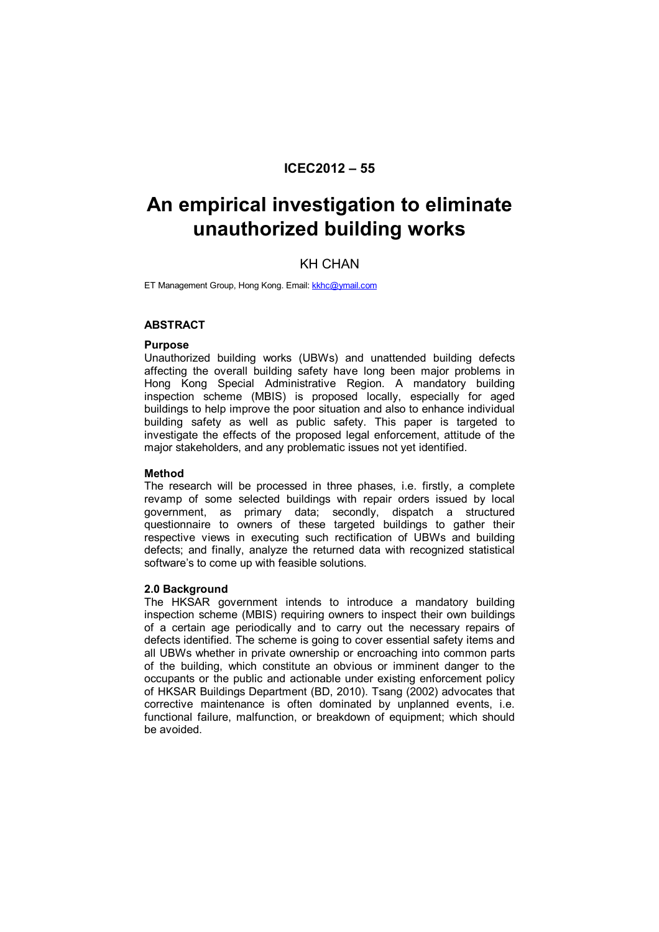# **ICEC2012 – 55**

# **An empirical investigation to eliminate unauthorized building works**

# KH CHAN

ET Management Group, Hong Kong. Email: kkhc@ymail.com

## **ABSTRACT**

#### **Purpose**

Unauthorized building works (UBWs) and unattended building defects affecting the overall building safety have long been major problems in Hong Kong Special Administrative Region. A mandatory building inspection scheme (MBIS) is proposed locally, especially for aged buildings to help improve the poor situation and also to enhance individual building safety as well as public safety. This paper is targeted to investigate the effects of the proposed legal enforcement, attitude of the major stakeholders, and any problematic issues not yet identified.

#### **Method**

The research will be processed in three phases, i.e. firstly, a complete revamp of some selected buildings with repair orders issued by local government, as primary data; secondly, dispatch a structured questionnaire to owners of these targeted buildings to gather their respective views in executing such rectification of UBWs and building defects; and finally, analyze the returned data with recognized statistical software's to come up with feasible solutions.

#### **2.0 Background**

The HKSAR government intends to introduce a mandatory building inspection scheme (MBIS) requiring owners to inspect their own buildings of a certain age periodically and to carry out the necessary repairs of defects identified. The scheme is going to cover essential safety items and all UBWs whether in private ownership or encroaching into common parts of the building, which constitute an obvious or imminent danger to the occupants or the public and actionable under existing enforcement policy of HKSAR Buildings Department (BD, 2010). Tsang (2002) advocates that corrective maintenance is often dominated by unplanned events, i.e. functional failure, malfunction, or breakdown of equipment; which should be avoided.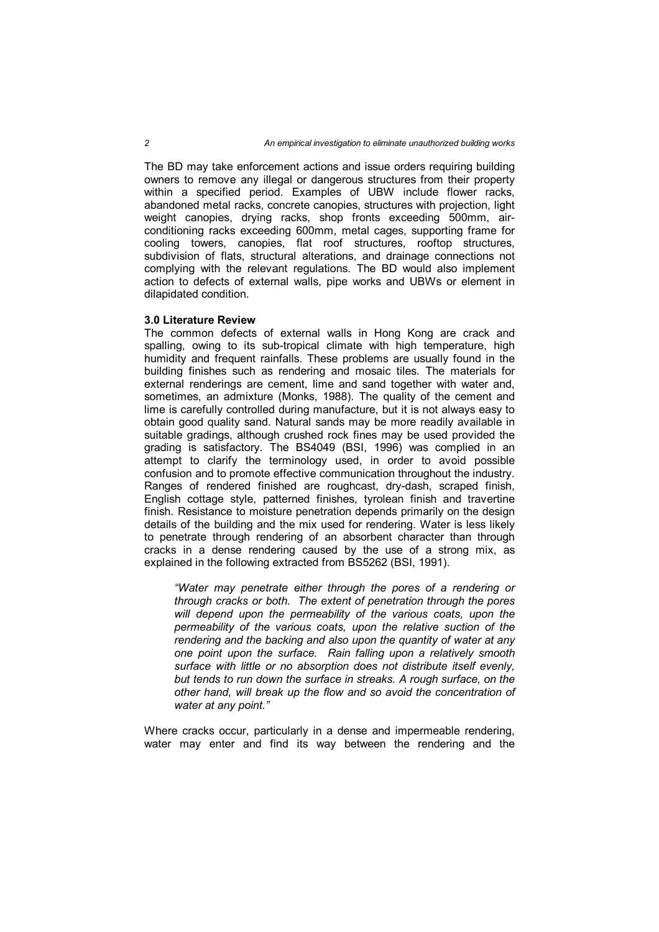The BD may take enforcement actions and issue orders requiring building owners to remove any illegal or dangerous structures from their property within a specified period. Examples of UBW include flower racks, abandoned metal racks, concrete canopies, structures with projection, light weight canopies, drying racks, shop fronts exceeding 500mm, airconditioning racks exceeding 600mm, metal cages, supporting frame for cooling towers, canopies, flat roof structures, rooftop structures, subdivision of flats, structural alterations, and drainage connections not complying with the relevant regulations. The BD would also implement action to defects of external walls, pipe works and UBWs or element in dilapidated condition.

#### **3.0 Literature Review**

The common defects of external walls in Hong Kong are crack and spalling, owing to its sub-tropical climate with high temperature, high humidity and frequent rainfalls. These problems are usually found in the building finishes such as rendering and mosaic tiles. The materials for external renderings are cement, lime and sand together with water and, sometimes, an admixture (Monks, 1988). The quality of the cement and lime is carefully controlled during manufacture, but it is not always easy to obtain good quality sand. Natural sands may be more readily available in suitable gradings, although crushed rock fines may be used provided the grading is satisfactory. The BS4049 (BSI, 1996) was complied in an attempt to clarify the terminology used, in order to avoid possible confusion and to promote effective communication throughout the industry. Ranges of rendered finished are roughcast, dry-dash, scraped finish, English cottage style, patterned finishes, tyrolean finish and travertine finish. Resistance to moisture penetration depends primarily on the design details of the building and the mix used for rendering. Water is less likely to penetrate through rendering of an absorbent character than through cracks in a dense rendering caused by the use of a strong mix, as explained in the following extracted from BS5262 (BSI, 1991).

*"Water may penetrate either through the pores of a rendering or through cracks or both. The extent of penetration through the pores will depend upon the permeability of the various coats, upon the permeability of the various coats, upon the relative suction of the rendering and the backing and also upon the quantity of water at any one point upon the surface. Rain falling upon a relatively smooth surface with little or no absorption does not distribute itself evenly, but tends to run down the surface in streaks. A rough surface, on the other hand, will break up the flow and so avoid the concentration of water at any point."*

Where cracks occur, particularly in a dense and impermeable rendering, water may enter and find its way between the rendering and the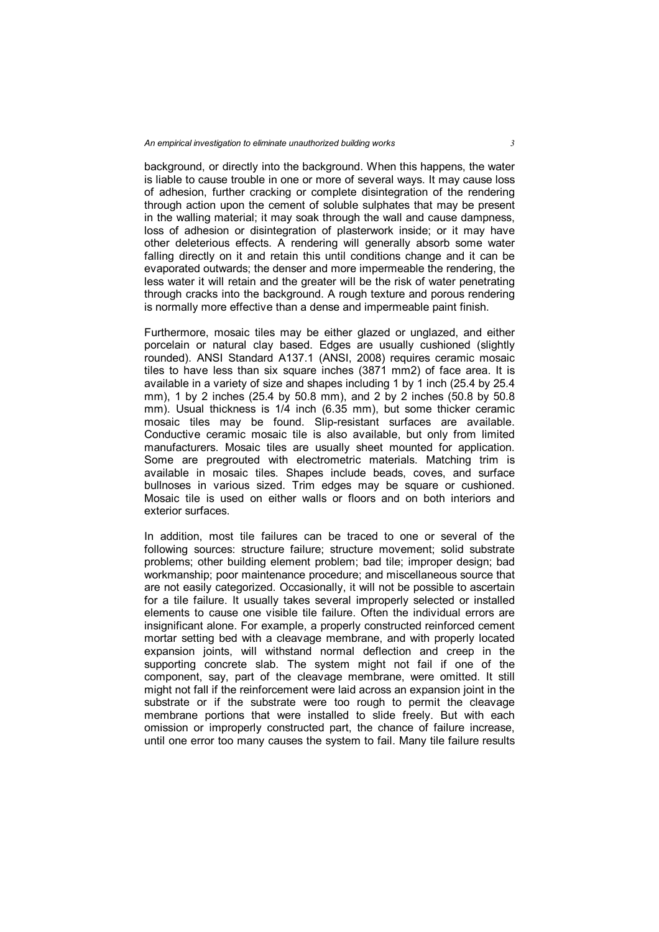background, or directly into the background. When this happens, the water is liable to cause trouble in one or more of several ways. It may cause loss of adhesion, further cracking or complete disintegration of the rendering through action upon the cement of soluble sulphates that may be present in the walling material; it may soak through the wall and cause dampness, loss of adhesion or disintegration of plasterwork inside; or it may have other deleterious effects. A rendering will generally absorb some water falling directly on it and retain this until conditions change and it can be evaporated outwards; the denser and more impermeable the rendering, the less water it will retain and the greater will be the risk of water penetrating through cracks into the background. A rough texture and porous rendering is normally more effective than a dense and impermeable paint finish.

Furthermore, mosaic tiles may be either glazed or unglazed, and either porcelain or natural clay based. Edges are usually cushioned (slightly rounded). ANSI Standard A137.1 (ANSI, 2008) requires ceramic mosaic tiles to have less than six square inches (3871 mm2) of face area. It is available in a variety of size and shapes including 1 by 1 inch (25.4 by 25.4 mm), 1 by 2 inches (25.4 by 50.8 mm), and 2 by 2 inches (50.8 by 50.8 mm). Usual thickness is 1/4 inch (6.35 mm), but some thicker ceramic mosaic tiles may be found. Slip-resistant surfaces are available. Conductive ceramic mosaic tile is also available, but only from limited manufacturers. Mosaic tiles are usually sheet mounted for application. Some are pregrouted with electrometric materials. Matching trim is available in mosaic tiles. Shapes include beads, coves, and surface bullnoses in various sized. Trim edges may be square or cushioned. Mosaic tile is used on either walls or floors and on both interiors and exterior surfaces.

In addition, most tile failures can be traced to one or several of the following sources: structure failure; structure movement; solid substrate problems; other building element problem; bad tile; improper design; bad workmanship; poor maintenance procedure; and miscellaneous source that are not easily categorized. Occasionally, it will not be possible to ascertain for a tile failure. It usually takes several improperly selected or installed elements to cause one visible tile failure. Often the individual errors are insignificant alone. For example, a properly constructed reinforced cement mortar setting bed with a cleavage membrane, and with properly located expansion joints, will withstand normal deflection and creep in the supporting concrete slab. The system might not fail if one of the component, say, part of the cleavage membrane, were omitted. It still might not fall if the reinforcement were laid across an expansion joint in the substrate or if the substrate were too rough to permit the cleavage membrane portions that were installed to slide freely. But with each omission or improperly constructed part, the chance of failure increase, until one error too many causes the system to fail. Many tile failure results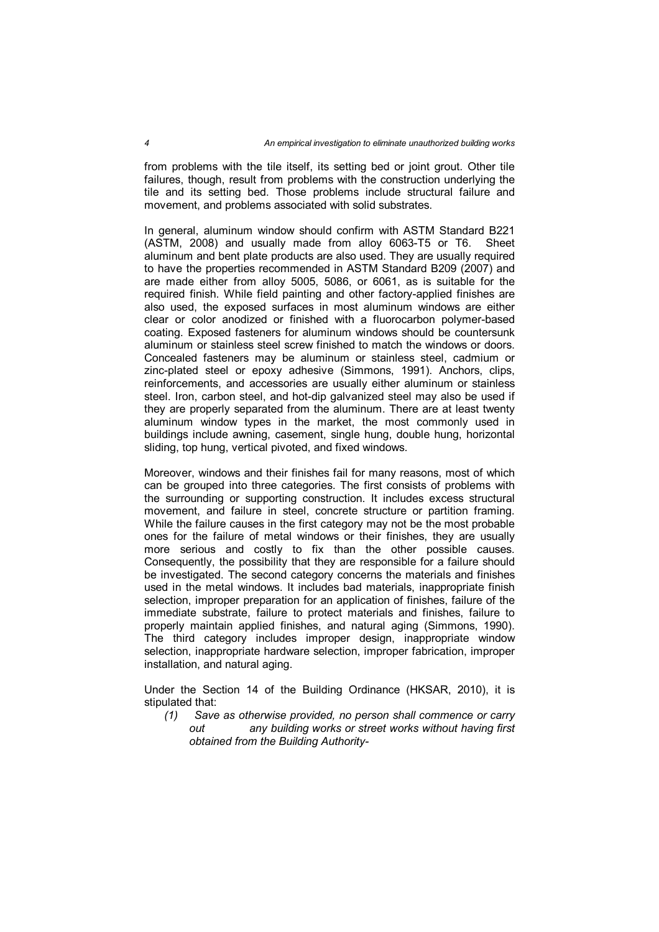from problems with the tile itself, its setting bed or joint grout. Other tile failures, though, result from problems with the construction underlying the tile and its setting bed. Those problems include structural failure and movement, and problems associated with solid substrates.

In general, aluminum window should confirm with ASTM Standard B221 (ASTM, 2008) and usually made from alloy 6063-T5 or T6. Sheet aluminum and bent plate products are also used. They are usually required to have the properties recommended in ASTM Standard B209 (2007) and are made either from alloy 5005, 5086, or 6061, as is suitable for the required finish. While field painting and other factory-applied finishes are also used, the exposed surfaces in most aluminum windows are either clear or color anodized or finished with a fluorocarbon polymer-based coating. Exposed fasteners for aluminum windows should be countersunk aluminum or stainless steel screw finished to match the windows or doors. Concealed fasteners may be aluminum or stainless steel, cadmium or zinc-plated steel or epoxy adhesive (Simmons, 1991). Anchors, clips, reinforcements, and accessories are usually either aluminum or stainless steel. Iron, carbon steel, and hot-dip galvanized steel may also be used if they are properly separated from the aluminum. There are at least twenty aluminum window types in the market, the most commonly used in buildings include awning, casement, single hung, double hung, horizontal sliding, top hung, vertical pivoted, and fixed windows.

Moreover, windows and their finishes fail for many reasons, most of which can be grouped into three categories. The first consists of problems with the surrounding or supporting construction. It includes excess structural movement, and failure in steel, concrete structure or partition framing. While the failure causes in the first category may not be the most probable ones for the failure of metal windows or their finishes, they are usually more serious and costly to fix than the other possible causes. Consequently, the possibility that they are responsible for a failure should be investigated. The second category concerns the materials and finishes used in the metal windows. It includes bad materials, inappropriate finish selection, improper preparation for an application of finishes, failure of the immediate substrate, failure to protect materials and finishes, failure to properly maintain applied finishes, and natural aging (Simmons, 1990). The third category includes improper design, inappropriate window selection, inappropriate hardware selection, improper fabrication, improper installation, and natural aging.

Under the Section 14 of the Building Ordinance (HKSAR, 2010), it is stipulated that:

*(1) Save as otherwise provided, no person shall commence or carry out any building works or street works without having first obtained from the Building Authority-*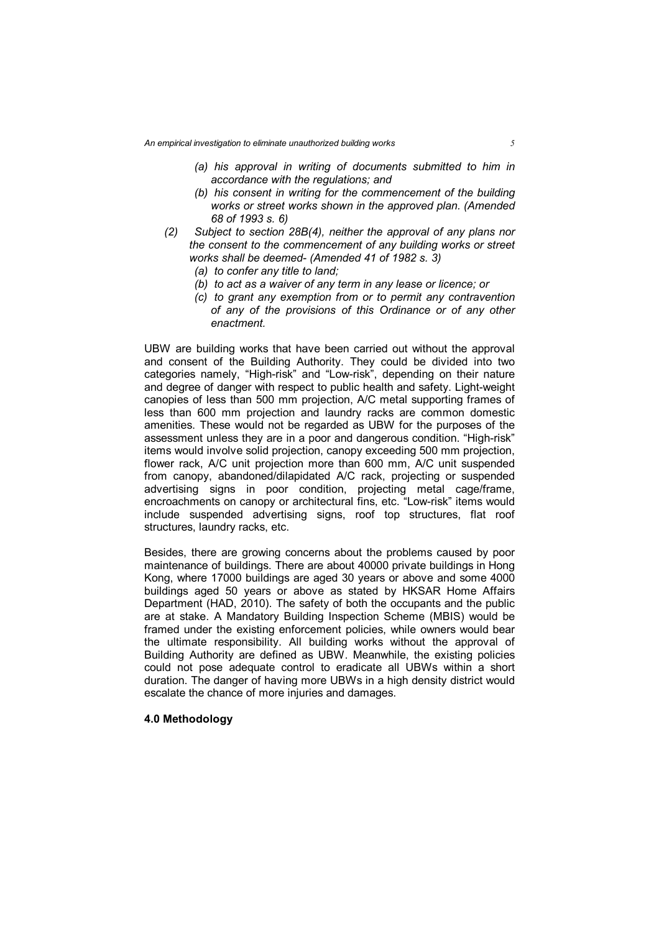- *(a) his approval in writing of documents submitted to him in accordance with the regulations; and*
- *(b) his consent in writing for the commencement of the building works or street works shown in the approved plan. (Amended 68 of 1993 s. 6)*
- *(2) Subject to section 28B(4), neither the approval of any plans nor the consent to the commencement of any building works or street works shall be deemed- (Amended 41 of 1982 s. 3)* 
	- *(a) to confer any title to land;*
	- *(b) to act as a waiver of any term in any lease or licence; or*
	- *(c) to grant any exemption from or to permit any contravention of any of the provisions of this Ordinance or of any other enactment.*

UBW are building works that have been carried out without the approval and consent of the Building Authority. They could be divided into two categories namely, "High-risk" and "Low-risk", depending on their nature and degree of danger with respect to public health and safety. Light-weight canopies of less than 500 mm projection, A/C metal supporting frames of less than 600 mm projection and laundry racks are common domestic amenities. These would not be regarded as UBW for the purposes of the assessment unless they are in a poor and dangerous condition. "High-risk" items would involve solid projection, canopy exceeding 500 mm projection, flower rack, A/C unit projection more than 600 mm, A/C unit suspended from canopy, abandoned/dilapidated A/C rack, projecting or suspended advertising signs in poor condition, projecting metal cage/frame, encroachments on canopy or architectural fins, etc. "Low-risk" items would include suspended advertising signs, roof top structures, flat roof structures, laundry racks, etc.

Besides, there are growing concerns about the problems caused by poor maintenance of buildings. There are about 40000 private buildings in Hong Kong, where 17000 buildings are aged 30 years or above and some 4000 buildings aged 50 years or above as stated by HKSAR Home Affairs Department (HAD, 2010). The safety of both the occupants and the public are at stake. A Mandatory Building Inspection Scheme (MBIS) would be framed under the existing enforcement policies, while owners would bear the ultimate responsibility. All building works without the approval of Building Authority are defined as UBW. Meanwhile, the existing policies could not pose adequate control to eradicate all UBWs within a short duration. The danger of having more UBWs in a high density district would escalate the chance of more injuries and damages.

#### **4.0 Methodology**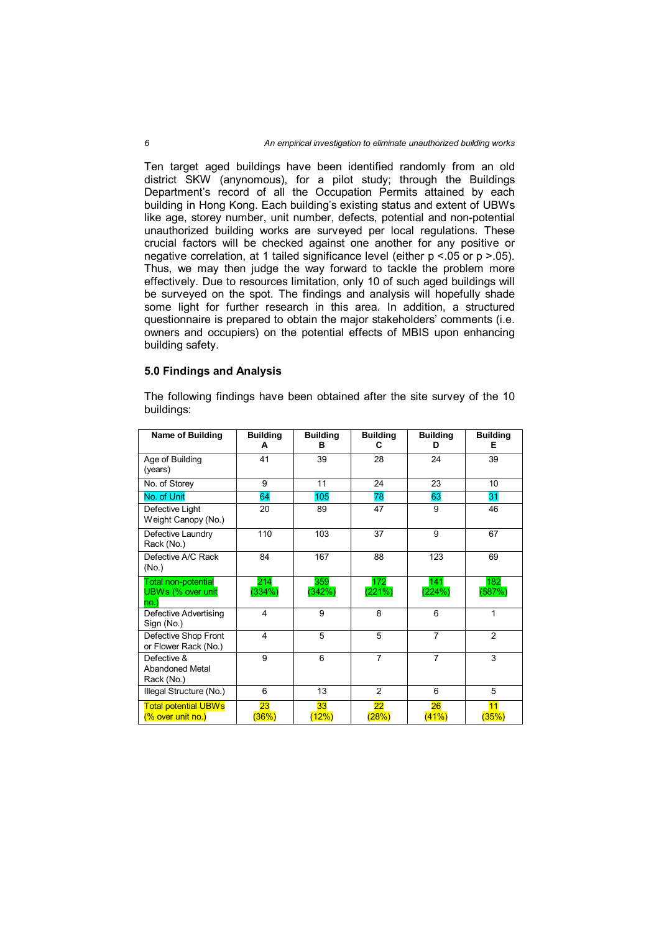Ten target aged buildings have been identified randomly from an old district SKW (anynomous), for a pilot study; through the Buildings Department's record of all the Occupation Permits attained by each building in Hong Kong. Each building's existing status and extent of UBWs like age, storey number, unit number, defects, potential and non-potential unauthorized building works are surveyed per local regulations. These crucial factors will be checked against one another for any positive or negative correlation, at 1 tailed significance level (either  $p < 0.05$  or  $p > 0.05$ ). Thus, we may then judge the way forward to tackle the problem more effectively. Due to resources limitation, only 10 of such aged buildings will be surveyed on the spot. The findings and analysis will hopefully shade some light for further research in this area. In addition, a structured questionnaire is prepared to obtain the major stakeholders' comments (i.e. owners and occupiers) on the potential effects of MBIS upon enhancing building safety.

## **5.0 Findings and Analysis**

The following findings have been obtained after the site survey of the 10 buildings:

| <b>Name of Building</b>                             | <b>Building</b><br>A      | <b>Building</b><br>в     | <b>Building</b><br>C | <b>Building</b><br>D | <b>Building</b><br>Е |
|-----------------------------------------------------|---------------------------|--------------------------|----------------------|----------------------|----------------------|
| Age of Building<br>(years)                          | 41                        | 39                       | 28                   | 24                   | 39                   |
| No. of Storey                                       | 9                         | 11                       | 24                   | 23                   | 10                   |
| No. of Unit                                         | 64                        | 105                      | 78                   | 63                   | 31                   |
| Defective Light<br>Weight Canopy (No.)              | 20                        | 89                       | 47                   | 9                    | 46                   |
| Defective Laundry<br>Rack (No.)                     | 110                       | 103                      | 37                   | 9                    | 67                   |
| Defective A/C Rack<br>(No.)                         | 84                        | 167                      | 88                   | 123                  | 69                   |
| Total non-potential<br>UBWs (% over unit<br>no.)    | 214<br>(334%)             | 359<br>(342%)            | 172<br>(221%)        | 141<br>(224%)        | 182<br>(587%)        |
| Defective Advertising<br>Sign (No.)                 | $\overline{\mathbf{4}}$   | 9                        | 8                    | 6                    | 1                    |
| Defective Shop Front<br>or Flower Rack (No.)        | $\overline{\mathbf{4}}$   | 5                        | 5                    | $\overline{7}$       | $\overline{2}$       |
| Defective &<br><b>Abandoned Metal</b><br>Rack (No.) | 9                         | 6                        | $\overline{7}$       | $\overline{7}$       | 3                    |
| Illegal Structure (No.)                             | 6                         | 13                       | $\overline{2}$       | 6                    | 5                    |
| <b>Total potential UBWs</b><br>(% over unit no.)    | $23\overline{)}$<br>(36%) | 33 <sub>o</sub><br>(12%) | $22 \,$<br>(28%)     | 26<br>(41%)          | 11<br>(35%)          |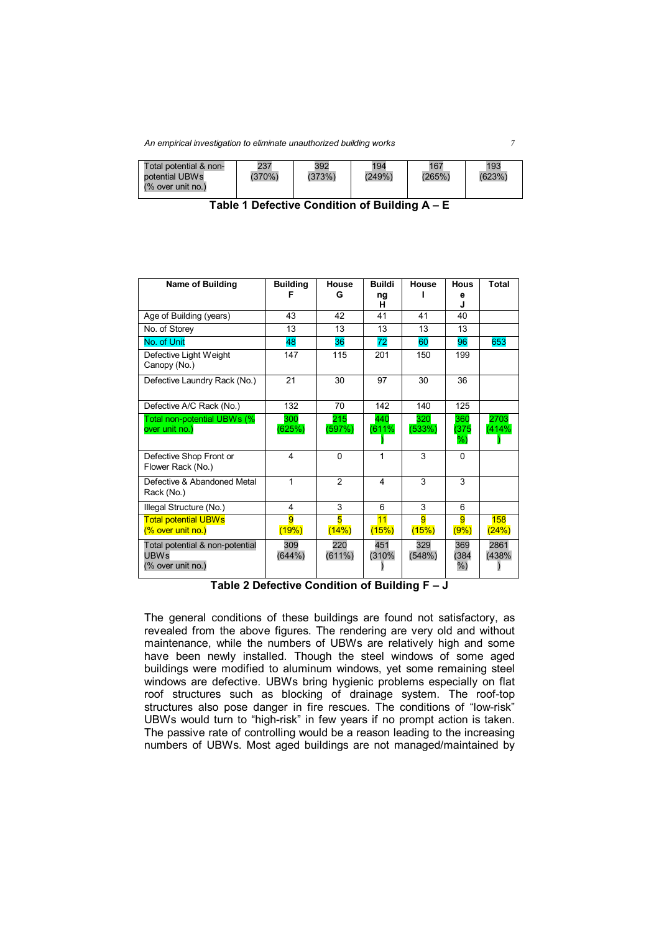| Total potential & non-<br>potential UBWs<br>(% over unit no.) | 237<br>(370%) | 392<br>(373%) | 194<br>(249%) | 167<br>(265%) | 193<br>(623%) |
|---------------------------------------------------------------|---------------|---------------|---------------|---------------|---------------|
|---------------------------------------------------------------|---------------|---------------|---------------|---------------|---------------|

**Table 1 Defective Condition of Building A – E**

| <b>Name of Building</b>                                             | <b>Building</b> | House         | <b>Buildi</b>           | House         | <b>Hous</b>           | <b>Total</b>  |
|---------------------------------------------------------------------|-----------------|---------------|-------------------------|---------------|-----------------------|---------------|
|                                                                     | F               | G             | ng                      |               | е                     |               |
|                                                                     |                 |               | н                       |               |                       |               |
| Age of Building (years)                                             | 43              | 42            | 41                      | 41            | 40                    |               |
| No. of Storey                                                       | 13              | 13            | 13                      | 13            | 13                    |               |
| No. of Unit                                                         | 48              | 36            | 72                      | 60            | 96                    | 653           |
| Defective Light Weight<br>Canopy (No.)                              | 147             | 115           | 201                     | 150           | 199                   |               |
| Defective Laundry Rack (No.)                                        | 21              | 30            | 97                      | 30            | 36                    |               |
| Defective A/C Rack (No.)                                            | 132             | 70            | 142                     | 140           | 125                   |               |
| Total non-potential UBWs (%<br>over unit no.)                       | 300<br>(625%)   | 215<br>(597%) | 440<br>(611%            | 320<br>(533%) | 360<br>(375)<br>$\%$  | 2703<br>(414% |
| Defective Shop Front or<br>Flower Rack (No.)                        | 4               | $\Omega$      | 1                       | 3             | $\Omega$              |               |
| Defective & Abandoned Metal<br>Rack (No.)                           | 1               | $\mathcal{P}$ | $\overline{\mathbf{4}}$ | 3             | 3                     |               |
| Illegal Structure (No.)                                             | 4               | 3             | 6                       | 3             | 6                     |               |
| <b>Total potential UBWs</b><br>(% over unit no.)                    | 9<br>(19%)      | 5<br>(14%)    | 11<br>(15%)             | 9<br>(15%)    | 9<br>(9%)             | 158<br>(24%)  |
| Total potential & non-potential<br><b>UBWs</b><br>(% over unit no.) | 309<br>(644%)   | 220<br>(611%) | 451<br>(310%            | 329<br>(548%) | 369<br>(384)<br>$%$ ) | 2861<br>(438% |

**Table 2 Defective Condition of Building F – J**

The general conditions of these buildings are found not satisfactory, as revealed from the above figures. The rendering are very old and without maintenance, while the numbers of UBWs are relatively high and some have been newly installed. Though the steel windows of some aged buildings were modified to aluminum windows, yet some remaining steel windows are defective. UBWs bring hygienic problems especially on flat roof structures such as blocking of drainage system. The roof-top structures also pose danger in fire rescues. The conditions of "low-risk" UBWs would turn to "high-risk" in few years if no prompt action is taken. The passive rate of controlling would be a reason leading to the increasing numbers of UBWs. Most aged buildings are not managed/maintained by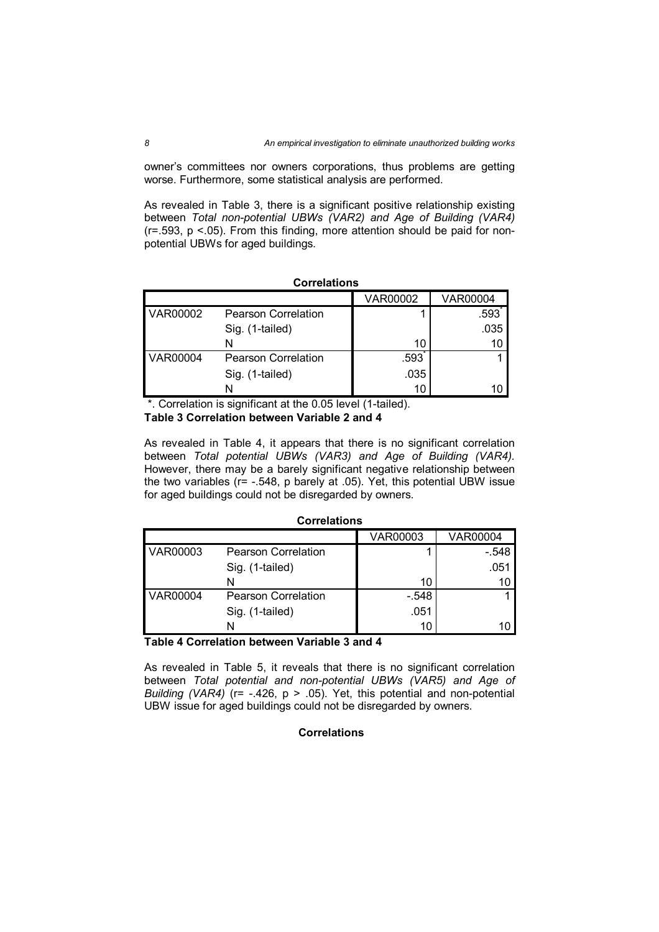owner's committees nor owners corporations, thus problems are getting worse. Furthermore, some statistical analysis are performed.

As revealed in Table 3, there is a significant positive relationship existing between *Total non-potential UBWs (VAR2) and Age of Building (VAR4)*   $(r=.593, p < 05)$ . From this finding, more attention should be paid for nonpotential UBWs for aged buildings.

#### **Correlations**

|                 |                            | VAR00002 | VAR00004 |
|-----------------|----------------------------|----------|----------|
| VAR00002        | <b>Pearson Correlation</b> |          | .593     |
|                 | Sig. (1-tailed)            |          | .035     |
|                 | N                          | 10       | 10       |
| <b>VAR00004</b> | <b>Pearson Correlation</b> | .593     |          |
|                 | Sig. (1-tailed)            | .035     |          |
|                 |                            |          |          |

\*. Correlation is significant at the 0.05 level (1-tailed).

**Table 3 Correlation between Variable 2 and 4**

As revealed in Table 4, it appears that there is no significant correlation between *Total potential UBWs (VAR3) and Age of Building (VAR4).* However, there may be a barely significant negative relationship between the two variables (r= -.548, p barely at .05). Yet, this potential UBW issue for aged buildings could not be disregarded by owners.

#### **Correlations**

|                 |                            | VAR00003 | <b>VAR00004</b> |
|-----------------|----------------------------|----------|-----------------|
| VAR00003        | <b>Pearson Correlation</b> |          | -.548           |
|                 | Sig. (1-tailed)            |          | .051            |
|                 |                            | 10       |                 |
| <b>VAR00004</b> | <b>Pearson Correlation</b> | $-.548$  |                 |
|                 | Sig. (1-tailed)            | .051     |                 |
|                 |                            |          |                 |

**Table 4 Correlation between Variable 3 and 4**

As revealed in Table 5, it reveals that there is no significant correlation between *Total potential and non-potential UBWs (VAR5) and Age of Building (VAR4)* (r= -.426, p > .05). Yet, this potential and non-potential UBW issue for aged buildings could not be disregarded by owners.

## **Correlations**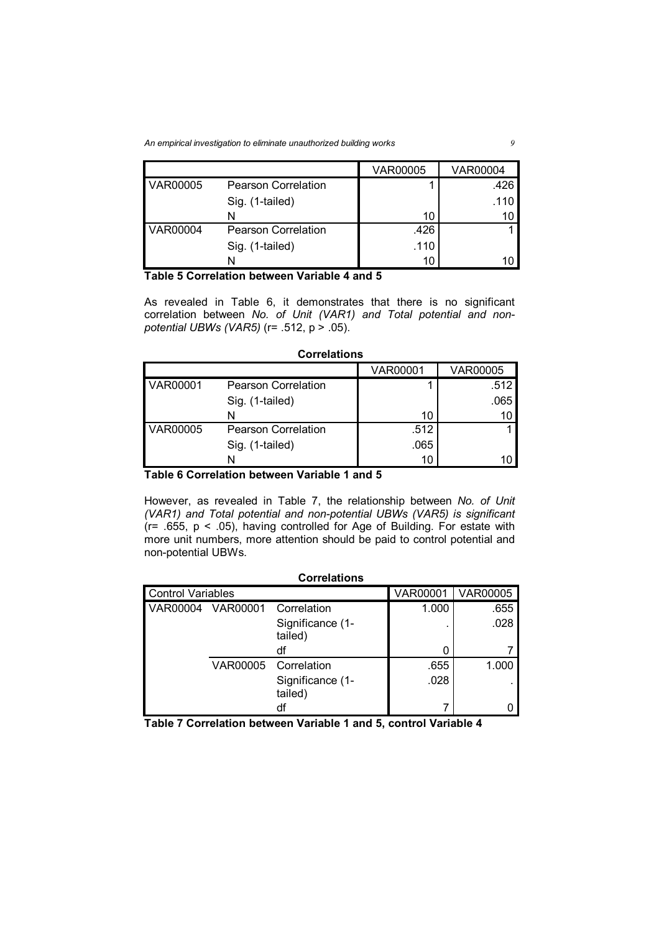|                 |                            | VAR00005 | VAR00004 |
|-----------------|----------------------------|----------|----------|
| VAR00005        | <b>Pearson Correlation</b> |          | .426     |
|                 | Sig. (1-tailed)            |          | .110     |
|                 |                            | 10       | 10       |
| <b>VAR00004</b> | <b>Pearson Correlation</b> | .426     |          |
|                 | Sig. (1-tailed)            | .110     |          |
|                 |                            |          | าเ       |

## **Table 5 Correlation between Variable 4 and 5**

As revealed in Table 6, it demonstrates that there is no significant correlation between *No. of Unit (VAR1) and Total potential and nonpotential UBWs (VAR5)* (r= .512, p > .05).

| <b>Correlations</b> |                            |                 |                 |  |  |
|---------------------|----------------------------|-----------------|-----------------|--|--|
|                     |                            | <b>VAR00001</b> | <b>VAR00005</b> |  |  |
| <b>VAR00001</b>     | <b>Pearson Correlation</b> |                 | .512            |  |  |
|                     | Sig. (1-tailed)            |                 | .065            |  |  |
|                     |                            | 10              | 10              |  |  |
| <b>VAR00005</b>     | <b>Pearson Correlation</b> | .512            |                 |  |  |
|                     | Sig. (1-tailed)            | .065            |                 |  |  |
|                     |                            | 10              |                 |  |  |

**Table 6 Correlation between Variable 1 and 5**

However, as revealed in Table 7, the relationship between *No. of Unit (VAR1) and Total potential and non-potential UBWs (VAR5) is significant*  $(r= .655, p < .05)$ , having controlled for Age of Building. For estate with more unit numbers, more attention should be paid to control potential and non-potential UBWs.

| <b>Correlations</b>      |                 |                             |                 |                 |  |  |
|--------------------------|-----------------|-----------------------------|-----------------|-----------------|--|--|
| <b>Control Variables</b> |                 |                             | <b>VAR00001</b> | <b>VAR00005</b> |  |  |
| <b>VAR00004</b>          | <b>VAR00001</b> | Correlation                 | 1.000           | .655            |  |  |
|                          |                 | Significance (1-<br>tailed) |                 | .028            |  |  |
|                          |                 | df                          | 0               |                 |  |  |
|                          | VAR00005        | Correlation                 | .655            | 1.000           |  |  |
|                          |                 | Significance (1-<br>tailed) | .028            |                 |  |  |
|                          |                 | df                          |                 |                 |  |  |

**Table 7 Correlation between Variable 1 and 5, control Variable 4**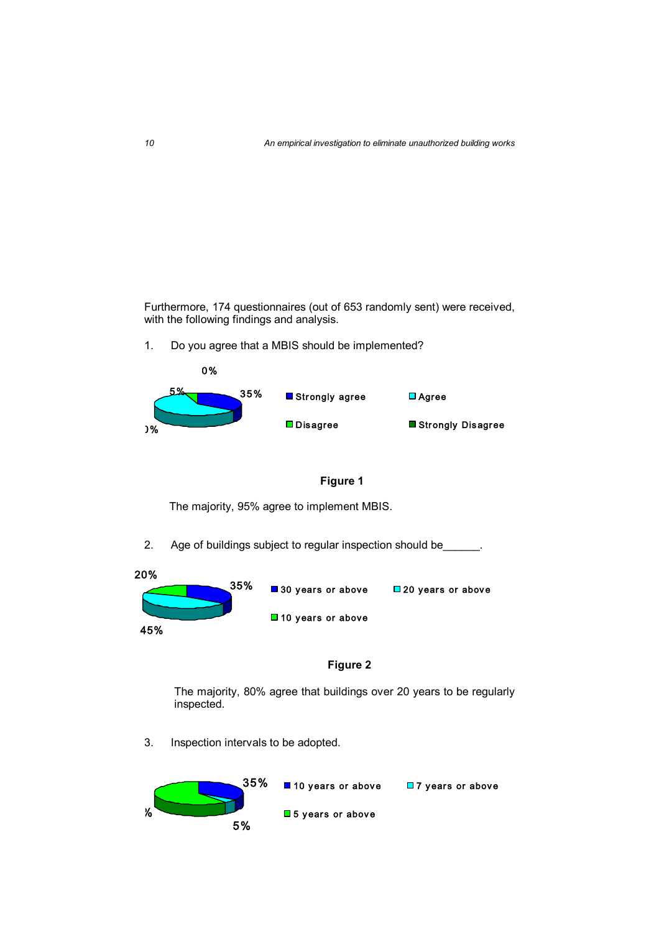Furthermore, 174 questionnaires (out of 653 randomly sent) were received, with the following findings and analysis.

1. Do you agree that a MBIS should be implemented?





The majority, 95% agree to implement MBIS.

2. Age of buildings subject to regular inspection should be\_



**Figure 2**

The majority, 80% agree that buildings over 20 years to be regularly inspected.

3. Inspection intervals to be adopted.

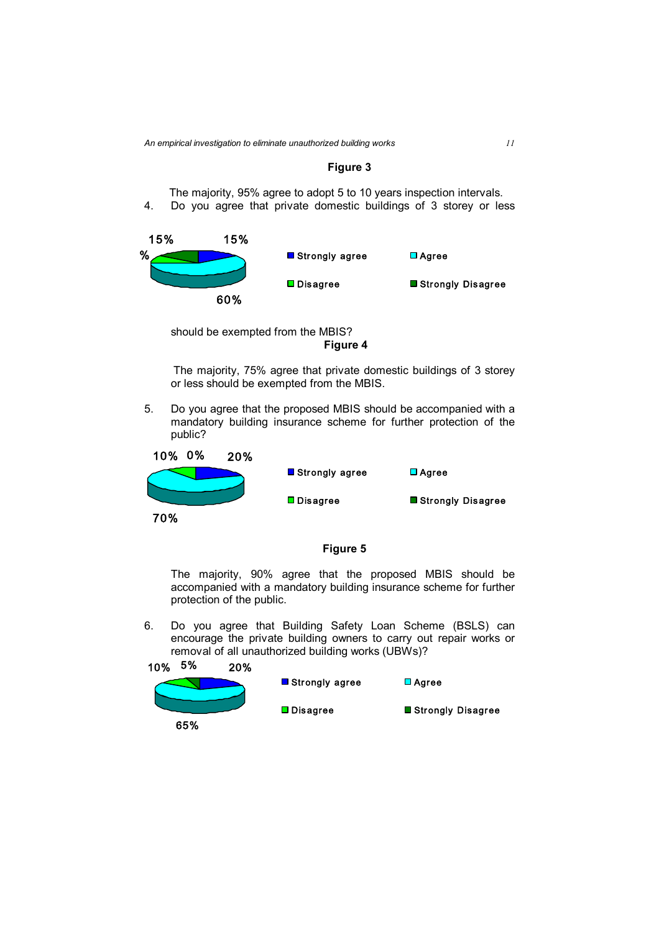### **Figure 3**

The majority, 95% agree to adopt 5 to 10 years inspection intervals.

4. Do you agree that private domestic buildings of 3 storey or less



should be exempted from the MBIS? **Figure 4**

The majority, 75% agree that private domestic buildings of 3 storey or less should be exempted from the MBIS.

5. Do you agree that the proposed MBIS should be accompanied with a mandatory building insurance scheme for further protection of the public?





The majority, 90% agree that the proposed MBIS should be accompanied with a mandatory building insurance scheme for further protection of the public.

6. Do you agree that Building Safety Loan Scheme (BSLS) can encourage the private building owners to carry out repair works or removal of all unauthorized building works (UBWs)?

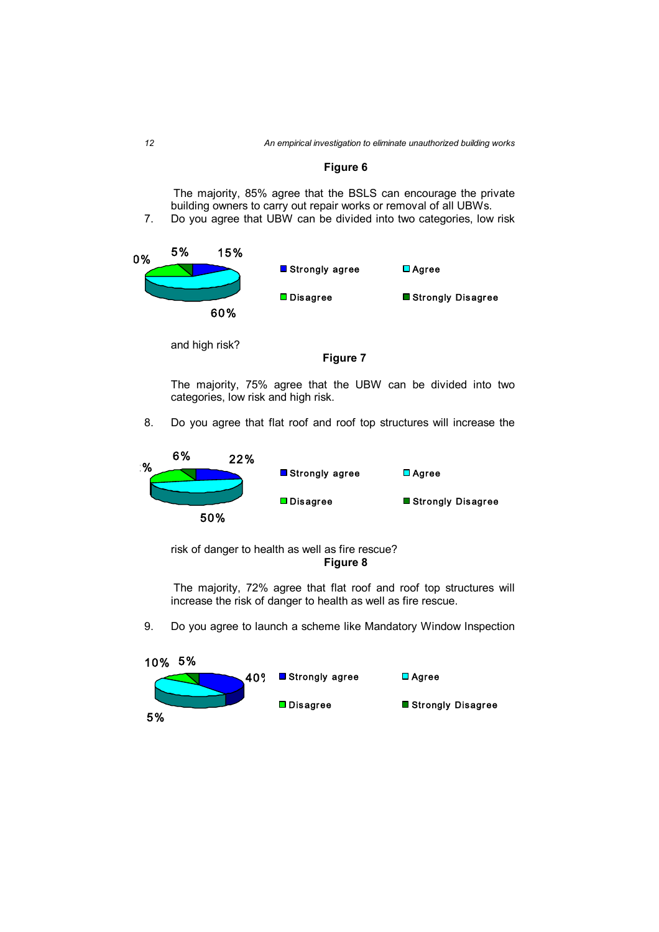#### **Figure 6**

The majority, 85% agree that the BSLS can encourage the private building owners to carry out repair works or removal of all UBWs. 7. Do you agree that UBW can be divided into two categories, low risk



**Figure 7**

The majority, 75% agree that the UBW can be divided into two categories, low risk and high risk.

8. Do you agree that flat roof and roof top structures will increase the



risk of danger to health as well as fire rescue? **Figure 8**

The majority, 72% agree that flat roof and roof top structures will increase the risk of danger to health as well as fire rescue.

9. Do you agree to launch a scheme like Mandatory Window Inspection

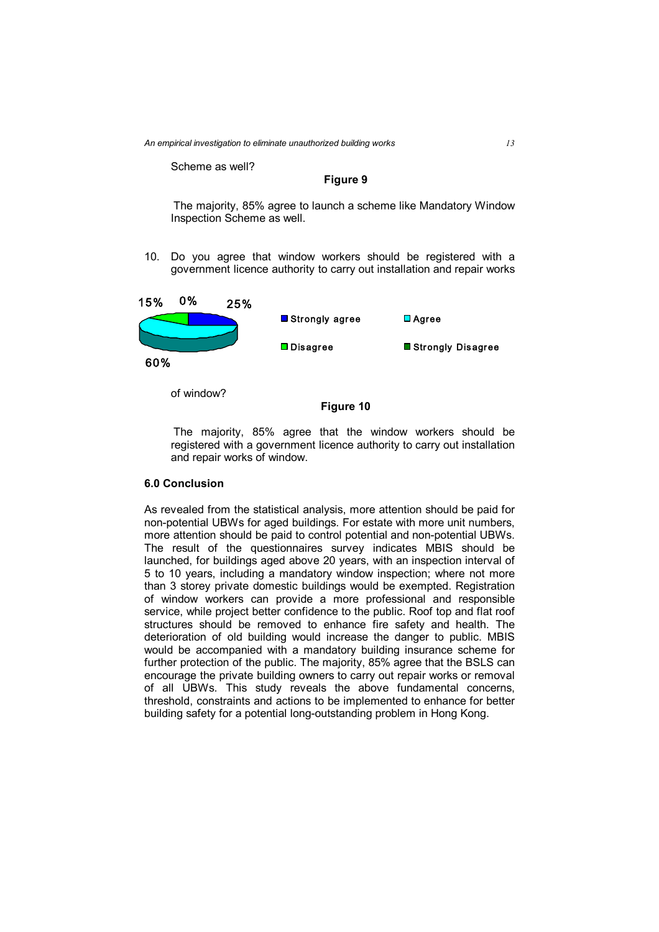Scheme as well?

#### **Figure 9**

The majority, 85% agree to launch a scheme like Mandatory Window Inspection Scheme as well.

10. Do you agree that window workers should be registered with a government licence authority to carry out installation and repair works



The majority, 85% agree that the window workers should be registered with a government licence authority to carry out installation and repair works of window.

## **6.0 Conclusion**

As revealed from the statistical analysis, more attention should be paid for non-potential UBWs for aged buildings. For estate with more unit numbers, more attention should be paid to control potential and non-potential UBWs. The result of the questionnaires survey indicates MBIS should be launched, for buildings aged above 20 years, with an inspection interval of 5 to 10 years, including a mandatory window inspection; where not more than 3 storey private domestic buildings would be exempted. Registration of window workers can provide a more professional and responsible service, while project better confidence to the public. Roof top and flat roof structures should be removed to enhance fire safety and health. The deterioration of old building would increase the danger to public. MBIS would be accompanied with a mandatory building insurance scheme for further protection of the public. The majority, 85% agree that the BSLS can encourage the private building owners to carry out repair works or removal of all UBWs. This study reveals the above fundamental concerns, threshold, constraints and actions to be implemented to enhance for better building safety for a potential long-outstanding problem in Hong Kong.